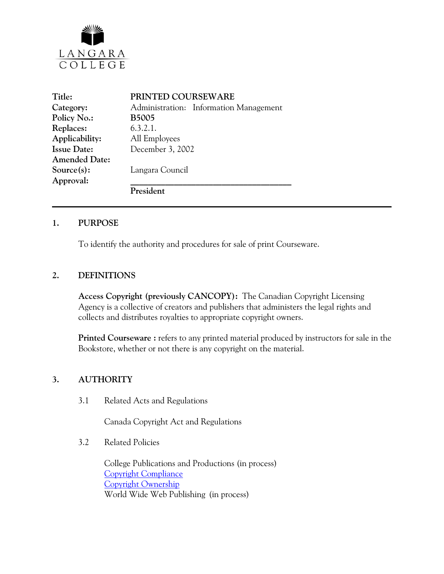

| Title:               | PRINTED COURSEWARE                     |
|----------------------|----------------------------------------|
| Category:            | Administration: Information Management |
| Policy No.:          | <b>B5005</b>                           |
| Replaces:            | 6.3.2.1.                               |
| Applicability:       | All Employees                          |
| <b>Issue Date:</b>   | December 3, 2002                       |
| <b>Amended Date:</b> |                                        |
| $Source(s)$ :        | Langara Council                        |
| Approval:            |                                        |
|                      | President                              |

#### **1. PURPOSE**

To identify the authority and procedures for sale of print Courseware.

#### **2. DEFINITIONS**

**Access Copyright (previously CANCOPY):** The Canadian Copyright Licensing Agency is a collective of creators and publishers that administers the legal rights and collects and distributes royalties to appropriate copyright owners.

**Printed Courseware :** refers to any printed material produced by instructors for sale in the Bookstore, whether or not there is any copyright on the material.

#### **3. AUTHORITY**

3.1 Related Acts and Regulations

Canada Copyright Act and Regulations

3.2 Related Policies

College Publications and Productions (in process) [Copyright Compliance](http://www.langara.bc.ca/policies/B5003.pdf) [Copyright Ownership](http://www.langara.bc.ca/policies/B5004.pdf) World Wide Web Publishing (in process)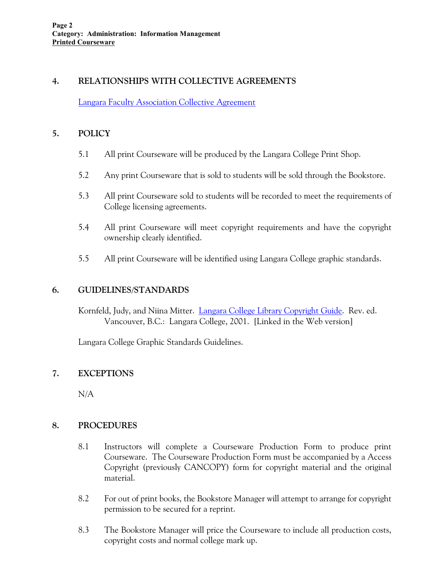## **4. RELATIONSHIPS WITH COLLECTIVE AGREEMENTS**

[Langara Faculty Association Collective Agreement](http://www.langara.bc.ca/hr/LFA.pdf)

### **5. POLICY**

- 5.1 All print Courseware will be produced by the Langara College Print Shop.
- 5.2 Any print Courseware that is sold to students will be sold through the Bookstore.
- 5.3 All print Courseware sold to students will be recorded to meet the requirements of College licensing agreements.
- 5.4 All print Courseware will meet copyright requirements and have the copyright ownership clearly identified.
- 5.5 All print Courseware will be identified using Langara College graphic standards.

### **6. GUIDELINES/STANDARDS**

Kornfeld, Judy, and Niina Mitter. [Langara College Library Copyright Guide.](http://www.langara.bc.ca/library/facservices/copyright.html) Rev. ed. Vancouver, B.C.: Langara College, 2001. [Linked in the Web version]

Langara College Graphic Standards Guidelines.

# **7. EXCEPTIONS**

N/A

#### **8. PROCEDURES**

- 8.1 Instructors will complete a Courseware Production Form to produce print Courseware. The Courseware Production Form must be accompanied by a Access Copyright (previously CANCOPY) form for copyright material and the original material.
- 8.2 For out of print books, the Bookstore Manager will attempt to arrange for copyright permission to be secured for a reprint.
- 8.3 The Bookstore Manager will price the Courseware to include all production costs, copyright costs and normal college mark up.